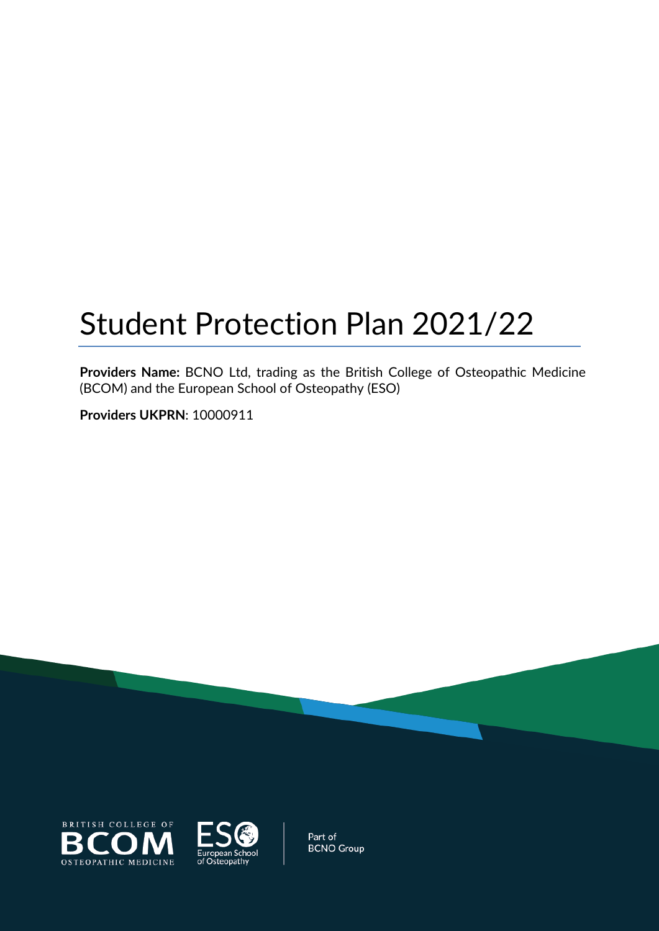# Student Protection Plan 2021/22

**Providers Name:** BCNO Ltd, trading as the British College of Osteopathic Medicine (BCOM) and the European School of Osteopathy (ESO)

**Providers UKPRN**: 10000911





Part of **BCNO Group**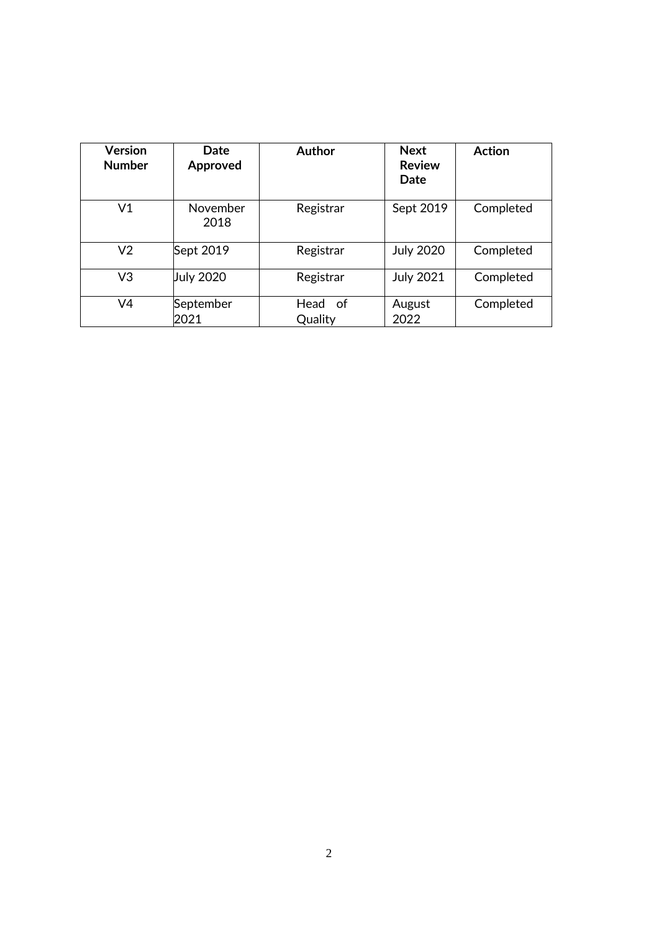| <b>Version</b><br><b>Number</b> | Date<br>Approved  | Author             | <b>Next</b><br><b>Review</b><br>Date | <b>Action</b> |
|---------------------------------|-------------------|--------------------|--------------------------------------|---------------|
| V <sub>1</sub>                  | November<br>2018  | Registrar          | Sept 2019                            | Completed     |
| V <sub>2</sub>                  | Sept 2019         | Registrar          | <b>July 2020</b>                     | Completed     |
| V <sub>3</sub>                  | <b>July 2020</b>  | Registrar          | <b>July 2021</b>                     | Completed     |
| V <sub>4</sub>                  | September<br>2021 | Head of<br>Quality | August<br>2022                       | Completed     |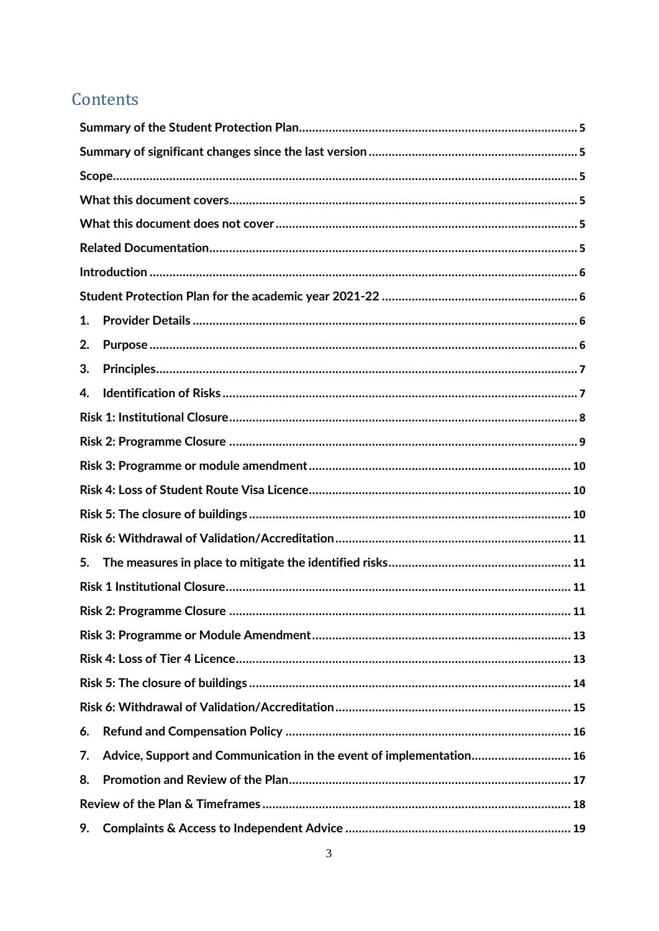# Contents

| 1. |                                                                     |
|----|---------------------------------------------------------------------|
| 2. |                                                                     |
| 3. |                                                                     |
| 4. |                                                                     |
|    |                                                                     |
|    |                                                                     |
|    |                                                                     |
|    |                                                                     |
|    |                                                                     |
|    |                                                                     |
| 5. |                                                                     |
|    |                                                                     |
|    |                                                                     |
|    |                                                                     |
|    |                                                                     |
|    |                                                                     |
|    |                                                                     |
| 6. |                                                                     |
| 7. | Advice, Support and Communication in the event of implementation 16 |
| 8. |                                                                     |
|    |                                                                     |
| 9. |                                                                     |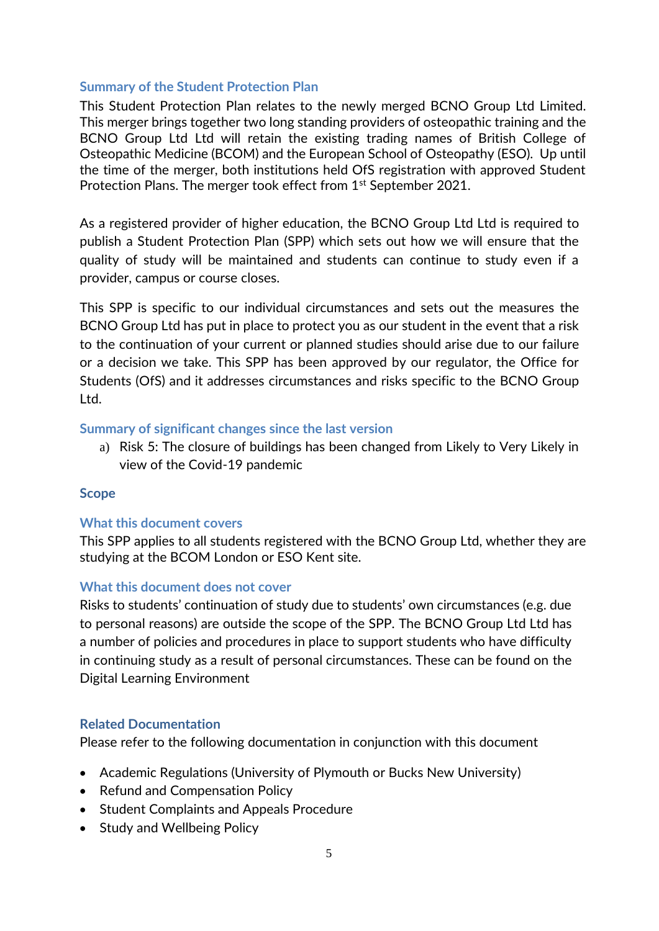### <span id="page-4-0"></span>**Summary of the Student Protection Plan**

This Student Protection Plan relates to the newly merged BCNO Group Ltd Limited. This merger brings together two long standing providers of osteopathic training and the BCNO Group Ltd Ltd will retain the existing trading names of British College of Osteopathic Medicine (BCOM) and the European School of Osteopathy (ESO). Up until the time of the merger, both institutions held OfS registration with approved Student Protection Plans. The merger took effect from 1<sup>st</sup> September 2021.

As a registered provider of higher education, the BCNO Group Ltd Ltd is required to publish a Student Protection Plan (SPP) which sets out how we will ensure that the quality of study will be maintained and students can continue to study even if a provider, campus or course closes.

This SPP is specific to our individual circumstances and sets out the measures the BCNO Group Ltd has put in place to protect you as our student in the event that a risk to the continuation of your current or planned studies should arise due to our failure or a decision we take. This SPP has been approved by our regulator, the Office for Students (OfS) and it addresses circumstances and risks specific to the BCNO Group Ltd.

#### <span id="page-4-1"></span>**Summary of significant changes since the last version**

a) Risk 5: The closure of buildings has been changed from Likely to Very Likely in view of the Covid-19 pandemic

### <span id="page-4-2"></span>**Scope**

### <span id="page-4-3"></span>**What this document covers**

This SPP applies to all students registered with the BCNO Group Ltd, whether they are studying at the BCOM London or ESO Kent site.

#### <span id="page-4-4"></span>**What this document does not cover**

Risks to students' continuation of study due to students' own circumstances (e.g. due to personal reasons) are outside the scope of the SPP. The BCNO Group Ltd Ltd has a number of policies and procedures in place to support students who have difficulty in continuing study as a result of personal circumstances. These can be found on the Digital Learning Environment

### <span id="page-4-5"></span>**Related Documentation**

Please refer to the following documentation in conjunction with this document

- Academic Regulations (University of Plymouth or Bucks New University)
- Refund and Compensation Policy
- Student Complaints and Appeals Procedure
- Study and Wellbeing Policy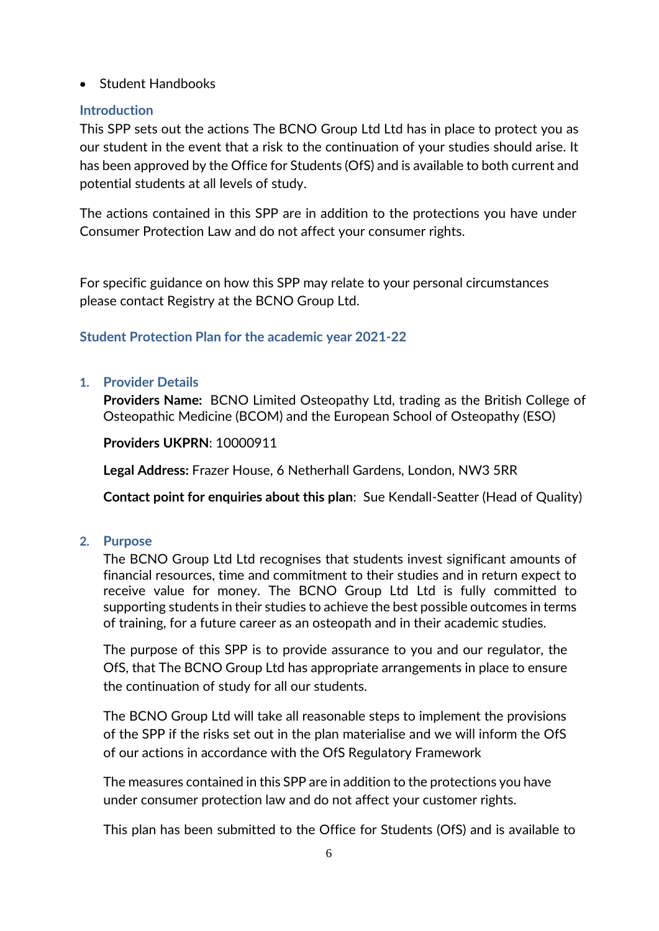• Student Handbooks

# <span id="page-5-0"></span>**Introduction**

This SPP sets out the actions The BCNO Group Ltd Ltd has in place to protect you as our student in the event that a risk to the continuation of your studies should arise. It has been approved by the Office for Students (OfS) and is available to both current and potential students at all levels of study.

The actions contained in this SPP are in addition to the protections you have under Consumer Protection Law and do not affect your consumer rights.

For specific guidance on how this SPP may relate to your personal circumstances please contact Registry at the BCNO Group Ltd.

# <span id="page-5-1"></span>**Student Protection Plan for the academic year 2021-22**

# <span id="page-5-2"></span>**1. Provider Details**

**Providers Name:** BCNO Limited Osteopathy Ltd, trading as the British College of Osteopathic Medicine (BCOM) and the European School of Osteopathy (ESO)

**Providers UKPRN**: 10000911

**Legal Address:** Frazer House, 6 Netherhall Gardens, London, NW3 5RR

**Contact point for enquiries about this plan**: Sue Kendall-Seatter (Head of Quality)

# <span id="page-5-3"></span>**2. Purpose**

The BCNO Group Ltd Ltd recognises that students invest significant amounts of financial resources, time and commitment to their studies and in return expect to receive value for money. The BCNO Group Ltd Ltd is fully committed to supporting students in their studies to achieve the best possible outcomes in terms of training, for a future career as an osteopath and in their academic studies.

The purpose of this SPP is to provide assurance to you and our regulator, the OfS, that The BCNO Group Ltd has appropriate arrangements in place to ensure the continuation of study for all our students.

The BCNO Group Ltd will take all reasonable steps to implement the provisions of the SPP if the risks set out in the plan materialise and we will inform the OfS of our actions in accordance with the OfS Regulatory Framework

The measures contained in this SPP are in addition to the protections you have under consumer protection law and do not affect your customer rights.

This plan has been submitted to the Office for Students (OfS) and is available to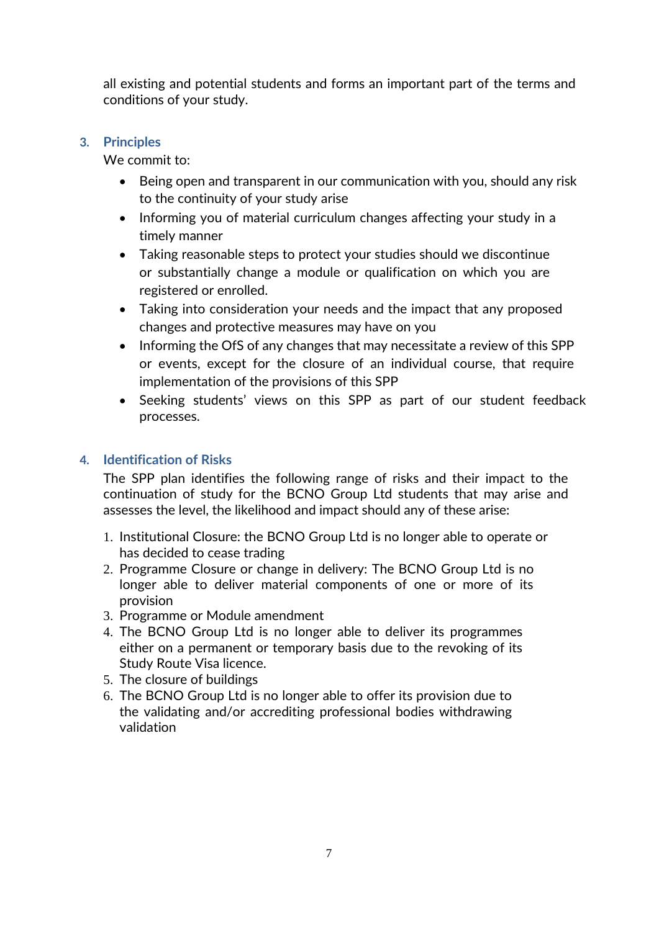all existing and potential students and forms an important part of the terms and conditions of your study.

# <span id="page-6-0"></span>**3. Principles**

We commit to:

- Being open and transparent in our communication with you, should any risk to the continuity of your study arise
- Informing you of material curriculum changes affecting your study in a timely manner
- Taking reasonable steps to protect your studies should we discontinue or substantially change a module or qualification on which you are registered or enrolled.
- Taking into consideration your needs and the impact that any proposed changes and protective measures may have on you
- Informing the OfS of any changes that may necessitate a review of this SPP or events, except for the closure of an individual course, that require implementation of the provisions of this SPP
- Seeking students' views on this SPP as part of our student feedback processes.

# <span id="page-6-1"></span>**4. Identification of Risks**

The SPP plan identifies the following range of risks and their impact to the continuation of study for the BCNO Group Ltd students that may arise and assesses the level, the likelihood and impact should any of these arise:

- 1. Institutional Closure: the BCNO Group Ltd is no longer able to operate or has decided to cease trading
- 2. Programme Closure or change in delivery: The BCNO Group Ltd is no longer able to deliver material components of one or more of its provision
- 3. Programme or Module amendment
- 4. The BCNO Group Ltd is no longer able to deliver its programmes either on a permanent or temporary basis due to the revoking of its Study Route Visa licence.
- 5. The closure of buildings
- 6. The BCNO Group Ltd is no longer able to offer its provision due to the validating and/or accrediting professional bodies withdrawing validation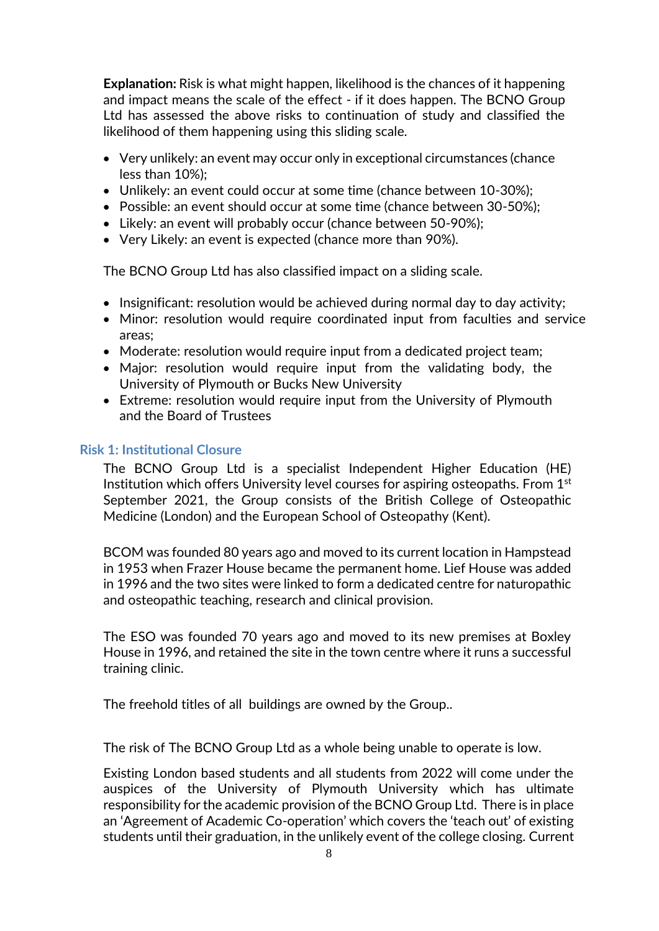**Explanation:** Risk is what might happen, likelihood is the chances of it happening and impact means the scale of the effect - if it does happen. The BCNO Group Ltd has assessed the above risks to continuation of study and classified the likelihood of them happening using this sliding scale.

- Very unlikely: an event may occur only in exceptional circumstances (chance less than 10%);
- Unlikely: an event could occur at some time (chance between 10-30%);
- Possible: an event should occur at some time (chance between 30-50%);
- Likely: an event will probably occur (chance between 50-90%);
- Very Likely: an event is expected (chance more than 90%).

The BCNO Group Ltd has also classified impact on a sliding scale.

- Insignificant: resolution would be achieved during normal day to day activity;
- Minor: resolution would require coordinated input from faculties and service areas;
- Moderate: resolution would require input from a dedicated project team;
- Major: resolution would require input from the validating body, the University of Plymouth or Bucks New University
- Extreme: resolution would require input from the University of Plymouth and the Board of Trustees

### <span id="page-7-0"></span>**Risk 1: Institutional Closure**

The BCNO Group Ltd is a specialist Independent Higher Education (HE) Institution which offers University level courses for aspiring osteopaths. From  $1<sup>st</sup>$ September 2021, the Group consists of the British College of Osteopathic Medicine (London) and the European School of Osteopathy (Kent).

BCOM was founded 80 years ago and moved to its current location in Hampstead in 1953 when Frazer House became the permanent home. Lief House was added in 1996 and the two sites were linked to form a dedicated centre for naturopathic and osteopathic teaching, research and clinical provision.

The ESO was founded 70 years ago and moved to its new premises at Boxley House in 1996, and retained the site in the town centre where it runs a successful training clinic.

The freehold titles of all buildings are owned by the Group..

The risk of The BCNO Group Ltd as a whole being unable to operate is low.

Existing London based students and all students from 2022 will come under the auspices of the University of Plymouth University which has ultimate responsibility for the academic provision of the BCNO Group Ltd. There is in place an 'Agreement of Academic Co-operation' which covers the 'teach out' of existing students until their graduation, in the unlikely event of the college closing. Current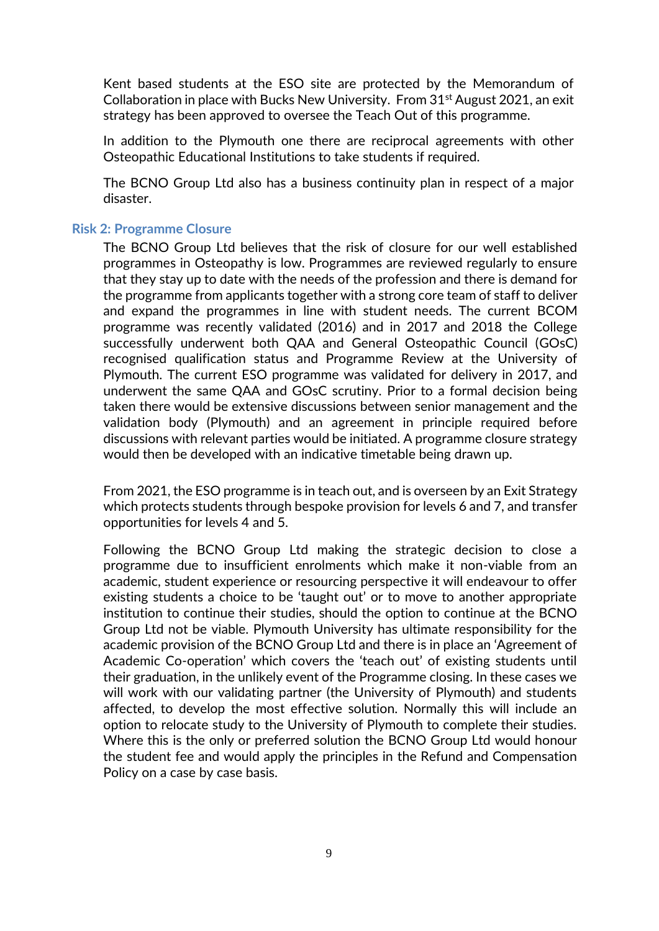Kent based students at the ESO site are protected by the Memorandum of Collaboration in place with Bucks New University. From  $31<sup>st</sup>$  August 2021, an exit strategy has been approved to oversee the Teach Out of this programme.

In addition to the Plymouth one there are reciprocal agreements with other Osteopathic Educational Institutions to take students if required.

The BCNO Group Ltd also has a business continuity plan in respect of a major disaster.

#### <span id="page-8-0"></span>**Risk 2: Programme Closure**

The BCNO Group Ltd believes that the risk of closure for our well established programmes in Osteopathy is low. Programmes are reviewed regularly to ensure that they stay up to date with the needs of the profession and there is demand for the programme from applicants together with a strong core team of staff to deliver and expand the programmes in line with student needs. The current BCOM programme was recently validated (2016) and in 2017 and 2018 the College successfully underwent both QAA and General Osteopathic Council (GOsC) recognised qualification status and Programme Review at the University of Plymouth. The current ESO programme was validated for delivery in 2017, and underwent the same QAA and GOsC scrutiny. Prior to a formal decision being taken there would be extensive discussions between senior management and the validation body (Plymouth) and an agreement in principle required before discussions with relevant parties would be initiated. A programme closure strategy would then be developed with an indicative timetable being drawn up.

From 2021, the ESO programme is in teach out, and is overseen by an Exit Strategy which protects students through bespoke provision for levels 6 and 7, and transfer opportunities for levels 4 and 5.

Following the BCNO Group Ltd making the strategic decision to close a programme due to insufficient enrolments which make it non-viable from an academic, student experience or resourcing perspective it will endeavour to offer existing students a choice to be 'taught out' or to move to another appropriate institution to continue their studies, should the option to continue at the BCNO Group Ltd not be viable. Plymouth University has ultimate responsibility for the academic provision of the BCNO Group Ltd and there is in place an 'Agreement of Academic Co-operation' which covers the 'teach out' of existing students until their graduation, in the unlikely event of the Programme closing. In these cases we will work with our validating partner (the University of Plymouth) and students affected, to develop the most effective solution. Normally this will include an option to relocate study to the University of Plymouth to complete their studies. Where this is the only or preferred solution the BCNO Group Ltd would honour the student fee and would apply the principles in the Refund and Compensation Policy on a case by case basis.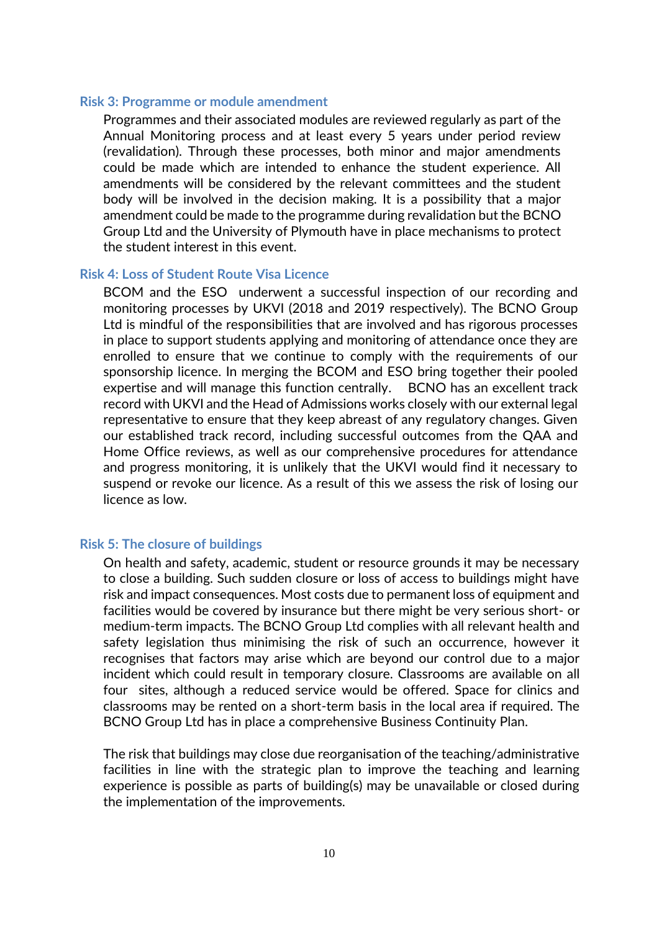#### <span id="page-9-0"></span>**Risk 3: Programme or module amendment**

Programmes and their associated modules are reviewed regularly as part of the Annual Monitoring process and at least every 5 years under period review (revalidation). Through these processes, both minor and major amendments could be made which are intended to enhance the student experience. All amendments will be considered by the relevant committees and the student body will be involved in the decision making. It is a possibility that a major amendment could be made to the programme during revalidation but the BCNO Group Ltd and the University of Plymouth have in place mechanisms to protect the student interest in this event.

#### <span id="page-9-1"></span>**Risk 4: Loss of Student Route Visa Licence**

BCOM and the ESO underwent a successful inspection of our recording and monitoring processes by UKVI (2018 and 2019 respectively). The BCNO Group Ltd is mindful of the responsibilities that are involved and has rigorous processes in place to support students applying and monitoring of attendance once they are enrolled to ensure that we continue to comply with the requirements of our sponsorship licence. In merging the BCOM and ESO bring together their pooled expertise and will manage this function centrally. BCNO has an excellent track record with UKVI and the Head of Admissions works closely with our external legal representative to ensure that they keep abreast of any regulatory changes. Given our established track record, including successful outcomes from the QAA and Home Office reviews, as well as our comprehensive procedures for attendance and progress monitoring, it is unlikely that the UKVI would find it necessary to suspend or revoke our licence. As a result of this we assess the risk of losing our licence as low.

#### <span id="page-9-2"></span>**Risk 5: The closure of buildings**

On health and safety, academic, student or resource grounds it may be necessary to close a building. Such sudden closure or loss of access to buildings might have risk and impact consequences. Most costs due to permanent loss of equipment and facilities would be covered by insurance but there might be very serious short- or medium-term impacts. The BCNO Group Ltd complies with all relevant health and safety legislation thus minimising the risk of such an occurrence, however it recognises that factors may arise which are beyond our control due to a major incident which could result in temporary closure. Classrooms are available on all four sites, although a reduced service would be offered. Space for clinics and classrooms may be rented on a short-term basis in the local area if required. The BCNO Group Ltd has in place a comprehensive Business Continuity Plan.

The risk that buildings may close due reorganisation of the teaching/administrative facilities in line with the strategic plan to improve the teaching and learning experience is possible as parts of building(s) may be unavailable or closed during the implementation of the improvements.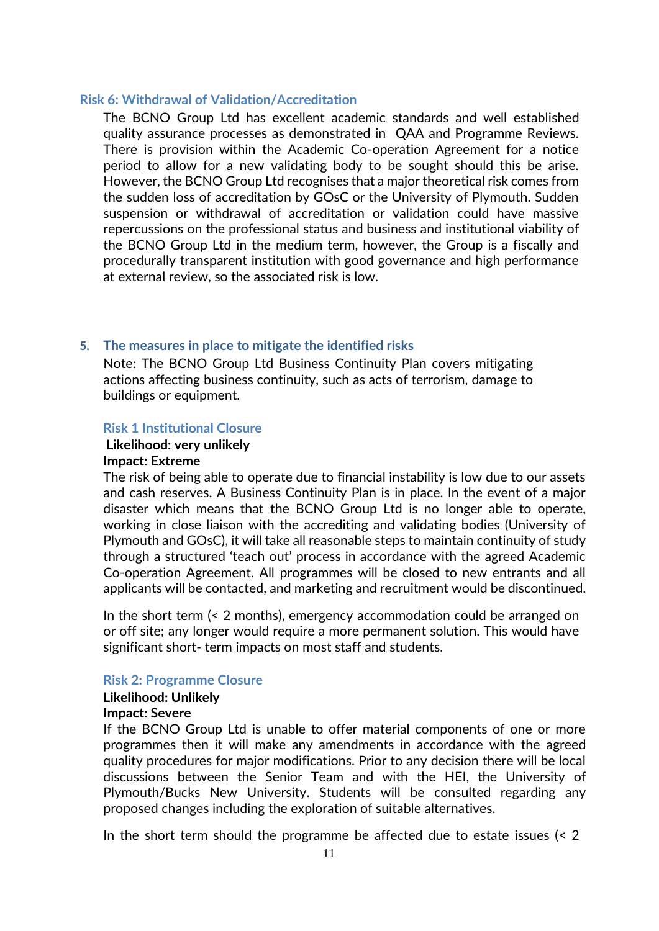#### <span id="page-10-0"></span>**Risk 6: Withdrawal of Validation/Accreditation**

The BCNO Group Ltd has excellent academic standards and well established quality assurance processes as demonstrated in QAA and Programme Reviews. There is provision within the Academic Co-operation Agreement for a notice period to allow for a new validating body to be sought should this be arise. However, the BCNO Group Ltd recognises that a major theoretical risk comes from the sudden loss of accreditation by GOsC or the University of Plymouth. Sudden suspension or withdrawal of accreditation or validation could have massive repercussions on the professional status and business and institutional viability of the BCNO Group Ltd in the medium term, however, the Group is a fiscally and procedurally transparent institution with good governance and high performance at external review, so the associated risk is low.

#### <span id="page-10-1"></span>**5. The measures in place to mitigate the identified risks**

Note: The BCNO Group Ltd Business Continuity Plan covers mitigating actions affecting business continuity, such as acts of terrorism, damage to buildings or equipment.

#### <span id="page-10-2"></span>**Risk 1 Institutional Closure**

# **Likelihood: very unlikely**

### **Impact: Extreme**

The risk of being able to operate due to financial instability is low due to our assets and cash reserves. A Business Continuity Plan is in place. In the event of a major disaster which means that the BCNO Group Ltd is no longer able to operate, working in close liaison with the accrediting and validating bodies (University of Plymouth and GOsC), it will take all reasonable steps to maintain continuity of study through a structured 'teach out' process in accordance with the agreed Academic Co-operation Agreement. All programmes will be closed to new entrants and all applicants will be contacted, and marketing and recruitment would be discontinued.

In the short term (< 2 months), emergency accommodation could be arranged on or off site; any longer would require a more permanent solution. This would have significant short- term impacts on most staff and students.

#### <span id="page-10-3"></span>**Risk 2: Programme Closure**

# **Likelihood: Unlikely**

## **Impact: Severe**

If the BCNO Group Ltd is unable to offer material components of one or more programmes then it will make any amendments in accordance with the agreed quality procedures for major modifications. Prior to any decision there will be local discussions between the Senior Team and with the HEI, the University of Plymouth/Bucks New University. Students will be consulted regarding any proposed changes including the exploration of suitable alternatives.

In the short term should the programme be affected due to estate issues (< 2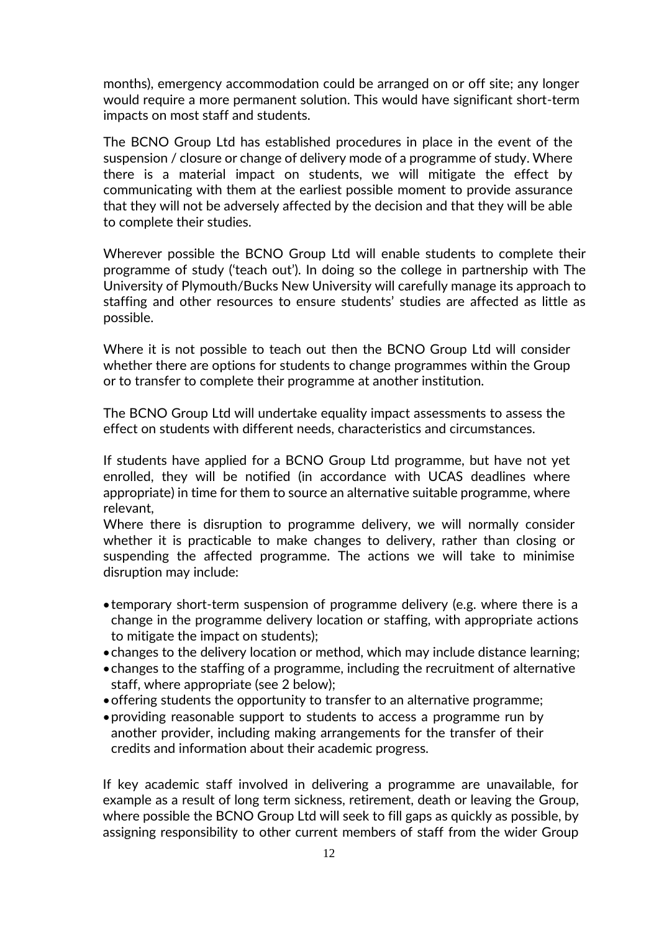months), emergency accommodation could be arranged on or off site; any longer would require a more permanent solution. This would have significant short-term impacts on most staff and students.

The BCNO Group Ltd has established procedures in place in the event of the suspension / closure or change of delivery mode of a programme of study. Where there is a material impact on students, we will mitigate the effect by communicating with them at the earliest possible moment to provide assurance that they will not be adversely affected by the decision and that they will be able to complete their studies.

Wherever possible the BCNO Group Ltd will enable students to complete their programme of study ('teach out'). In doing so the college in partnership with The University of Plymouth/Bucks New University will carefully manage its approach to staffing and other resources to ensure students' studies are affected as little as possible.

Where it is not possible to teach out then the BCNO Group Ltd will consider whether there are options for students to change programmes within the Group or to transfer to complete their programme at another institution.

The BCNO Group Ltd will undertake equality impact assessments to assess the effect on students with different needs, characteristics and circumstances.

If students have applied for a BCNO Group Ltd programme, but have not yet enrolled, they will be notified (in accordance with UCAS deadlines where appropriate) in time for them to source an alternative suitable programme, where relevant,

Where there is disruption to programme delivery, we will normally consider whether it is practicable to make changes to delivery, rather than closing or suspending the affected programme. The actions we will take to minimise disruption may include:

- temporary short-term suspension of programme delivery (e.g. where there is a change in the programme delivery location or staffing, with appropriate actions to mitigate the impact on students);
- changes to the delivery location or method, which may include distance learning;
- changes to the staffing of a programme, including the recruitment of alternative staff, where appropriate (see 2 below);
- •offering students the opportunity to transfer to an alternative programme;
- •providing reasonable support to students to access a programme run by another provider, including making arrangements for the transfer of their credits and information about their academic progress.

If key academic staff involved in delivering a programme are unavailable, for example as a result of long term sickness, retirement, death or leaving the Group, where possible the BCNO Group Ltd will seek to fill gaps as quickly as possible, by assigning responsibility to other current members of staff from the wider Group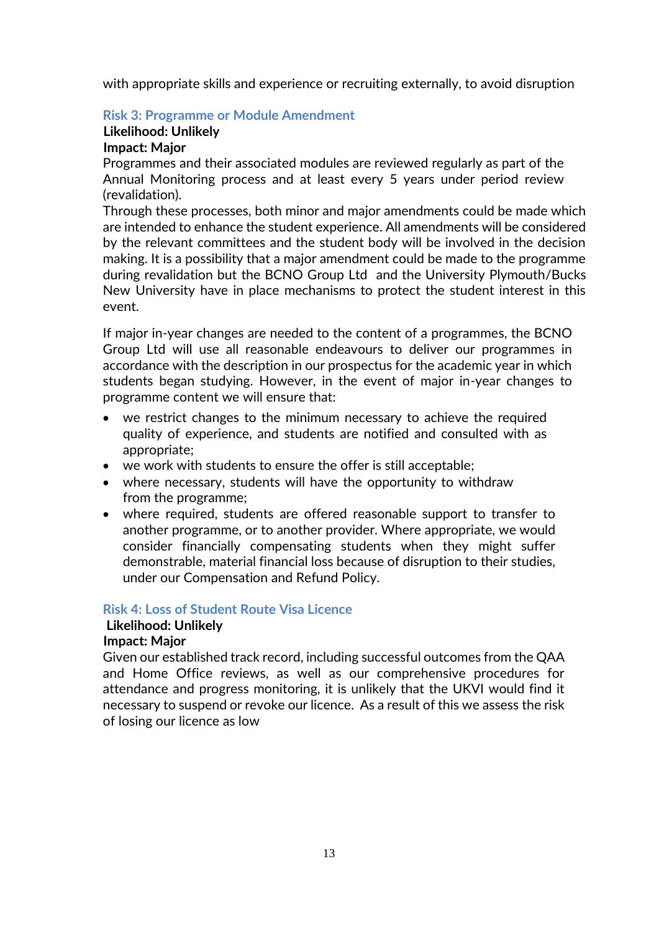with appropriate skills and experience or recruiting externally, to avoid disruption

# <span id="page-12-0"></span>**Risk 3: Programme or Module Amendment**

# **Likelihood: Unlikely**

## **Impact: Major**

Programmes and their associated modules are reviewed regularly as part of the Annual Monitoring process and at least every 5 years under period review (revalidation).

Through these processes, both minor and major amendments could be made which are intended to enhance the student experience. All amendments will be considered by the relevant committees and the student body will be involved in the decision making. It is a possibility that a major amendment could be made to the programme during revalidation but the BCNO Group Ltd and the University Plymouth/Bucks New University have in place mechanisms to protect the student interest in this event.

If major in-year changes are needed to the content of a programmes, the BCNO Group Ltd will use all reasonable endeavours to deliver our programmes in accordance with the description in our prospectus for the academic year in which students began studying. However, in the event of major in-year changes to programme content we will ensure that:

- we restrict changes to the minimum necessary to achieve the required quality of experience, and students are notified and consulted with as appropriate;
- we work with students to ensure the offer is still acceptable;
- where necessary, students will have the opportunity to withdraw from the programme;
- where required, students are offered reasonable support to transfer to another programme, or to another provider. Where appropriate, we would consider financially compensating students when they might suffer demonstrable, material financial loss because of disruption to their studies, under our Compensation and Refund Policy.

# <span id="page-12-1"></span>**Risk 4: Loss of Student Route Visa Licence**

# **Likelihood: Unlikely**

### **Impact: Major**

Given our established track record, including successful outcomes from the QAA and Home Office reviews, as well as our comprehensive procedures for attendance and progress monitoring, it is unlikely that the UKVI would find it necessary to suspend or revoke our licence. As a result of this we assess the risk of losing our licence as low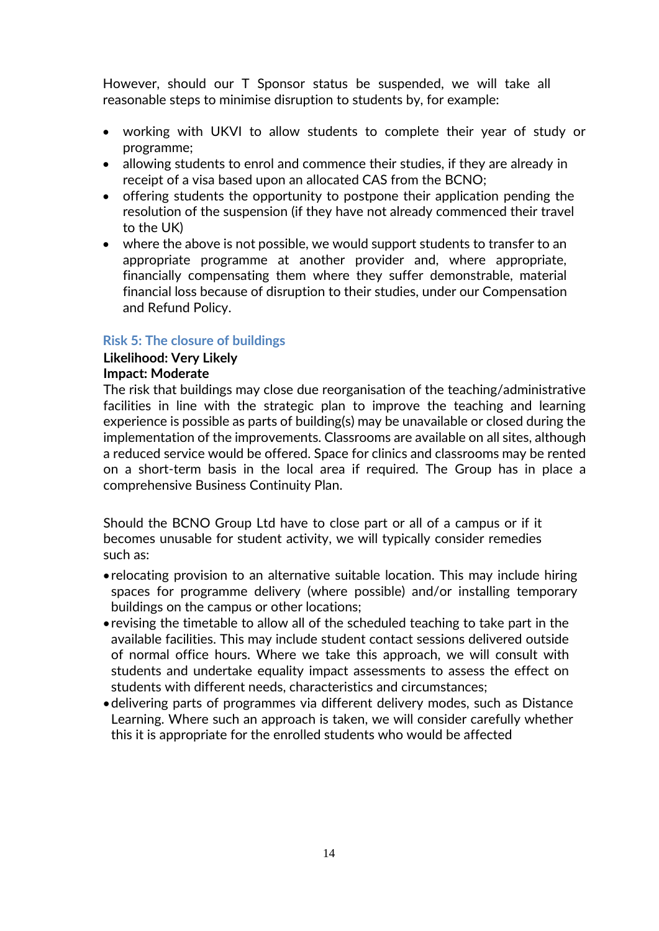However, should our T Sponsor status be suspended, we will take all reasonable steps to minimise disruption to students by, for example:

- working with UKVI to allow students to complete their year of study or programme;
- allowing students to enrol and commence their studies, if they are already in receipt of a visa based upon an allocated CAS from the BCNO;
- offering students the opportunity to postpone their application pending the resolution of the suspension (if they have not already commenced their travel to the UK)
- where the above is not possible, we would support students to transfer to an appropriate programme at another provider and, where appropriate, financially compensating them where they suffer demonstrable, material financial loss because of disruption to their studies, under our Compensation and Refund Policy.

### <span id="page-13-0"></span>**Risk 5: The closure of buildings**

# **Likelihood: Very Likely**

# **Impact: Moderate**

The risk that buildings may close due reorganisation of the teaching/administrative facilities in line with the strategic plan to improve the teaching and learning experience is possible as parts of building(s) may be unavailable or closed during the implementation of the improvements. Classrooms are available on all sites, although a reduced service would be offered. Space for clinics and classrooms may be rented on a short-term basis in the local area if required. The Group has in place a comprehensive Business Continuity Plan.

Should the BCNO Group Ltd have to close part or all of a campus or if it becomes unusable for student activity, we will typically consider remedies such as:

- relocating provision to an alternative suitable location. This may include hiring spaces for programme delivery (where possible) and/or installing temporary buildings on the campus or other locations;
- revising the timetable to allow all of the scheduled teaching to take part in the available facilities. This may include student contact sessions delivered outside of normal office hours. Where we take this approach, we will consult with students and undertake equality impact assessments to assess the effect on students with different needs, characteristics and circumstances;
- <span id="page-13-1"></span>•delivering parts of programmes via different delivery modes, such as Distance Learning. Where such an approach is taken, we will consider carefully whether this it is appropriate for the enrolled students who would be affected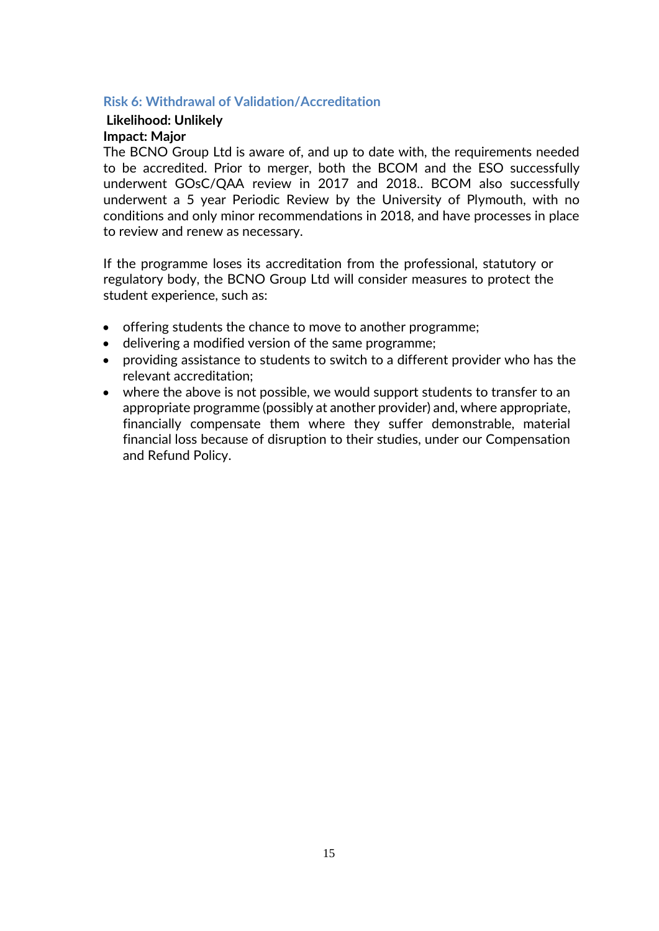#### **Risk 6: Withdrawal of Validation/Accreditation**

# **Likelihood: Unlikely Impact: Major**

The BCNO Group Ltd is aware of, and up to date with, the requirements needed to be accredited. Prior to merger, both the BCOM and the ESO successfully underwent GOsC/QAA review in 2017 and 2018.. BCOM also successfully underwent a 5 year Periodic Review by the University of Plymouth, with no conditions and only minor recommendations in 2018, and have processes in place to review and renew as necessary.

If the programme loses its accreditation from the professional, statutory or regulatory body, the BCNO Group Ltd will consider measures to protect the student experience, such as:

- offering students the chance to move to another programme;
- delivering a modified version of the same programme;
- providing assistance to students to switch to a different provider who has the relevant accreditation;
- where the above is not possible, we would support students to transfer to an appropriate programme (possibly at another provider) and, where appropriate, financially compensate them where they suffer demonstrable, material financial loss because of disruption to their studies, under our Compensation and Refund Policy.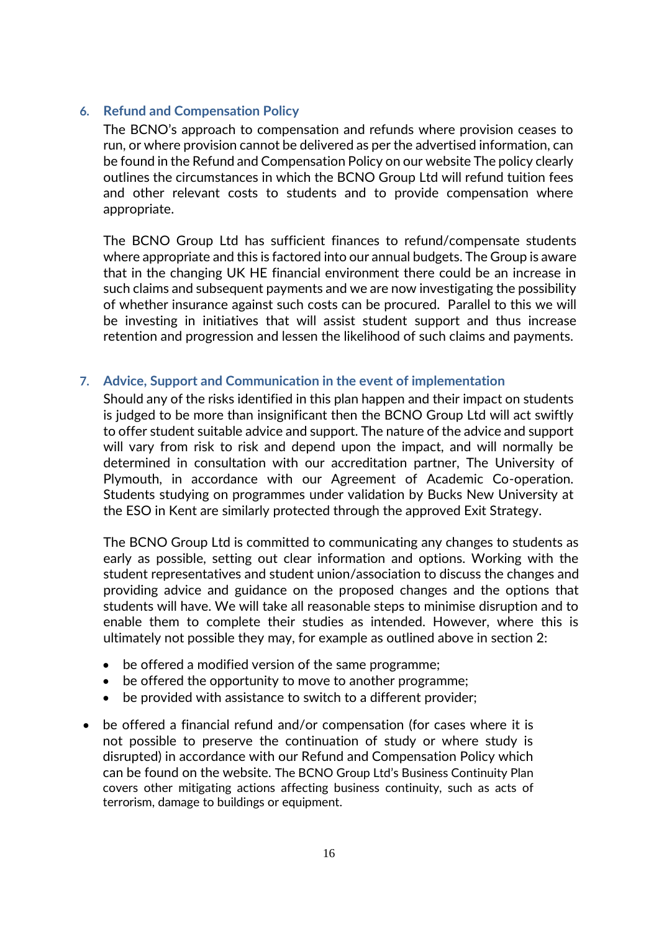# <span id="page-15-0"></span>**6. Refund and Compensation Policy**

The BCNO's approach to compensation and refunds where provision ceases to run, or where provision cannot be delivered as per the advertised information, can be found in the Refund and Compensation Policy on our website The policy clearly outlines the circumstances in which the BCNO Group Ltd will refund tuition fees and other relevant costs to students and to provide compensation where appropriate.

The BCNO Group Ltd has sufficient finances to refund/compensate students where appropriate and this is factored into our annual budgets. The Group is aware that in the changing UK HE financial environment there could be an increase in such claims and subsequent payments and we are now investigating the possibility of whether insurance against such costs can be procured. Parallel to this we will be investing in initiatives that will assist student support and thus increase retention and progression and lessen the likelihood of such claims and payments.

### <span id="page-15-1"></span>**7. Advice, Support and Communication in the event of implementation**

Should any of the risks identified in this plan happen and their impact on students is judged to be more than insignificant then the BCNO Group Ltd will act swiftly to offer student suitable advice and support. The nature of the advice and support will vary from risk to risk and depend upon the impact, and will normally be determined in consultation with our accreditation partner, The University of Plymouth, in accordance with our Agreement of Academic Co-operation. Students studying on programmes under validation by Bucks New University at the ESO in Kent are similarly protected through the approved Exit Strategy.

The BCNO Group Ltd is committed to communicating any changes to students as early as possible, setting out clear information and options. Working with the student representatives and student union/association to discuss the changes and providing advice and guidance on the proposed changes and the options that students will have. We will take all reasonable steps to minimise disruption and to enable them to complete their studies as intended. However, where this is ultimately not possible they may, for example as outlined above in section 2:

- be offered a modified version of the same programme;
- be offered the opportunity to move to another programme;
- be provided with assistance to switch to a different provider;
- be offered a financial refund and/or compensation (for cases where it is not possible to preserve the continuation of study or where study is disrupted) in accordance with our Refund and Compensation Policy which can be found on the website. The BCNO Group Ltd's Business Continuity Plan covers other mitigating actions affecting business continuity, such as acts of terrorism, damage to buildings or equipment.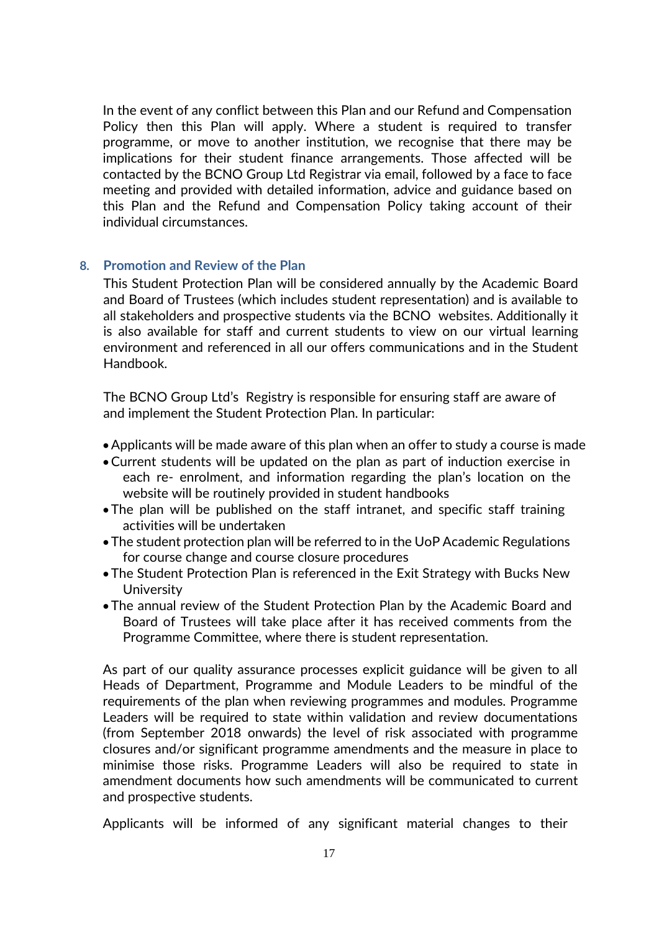In the event of any conflict between this Plan and our Refund and Compensation Policy then this Plan will apply. Where a student is required to transfer programme, or move to another institution, we recognise that there may be implications for their student finance arrangements. Those affected will be contacted by the BCNO Group Ltd Registrar via email, followed by a face to face meeting and provided with detailed information, advice and guidance based on this Plan and the Refund and Compensation Policy taking account of their individual circumstances.

#### <span id="page-16-0"></span>**8. Promotion and Review of the Plan**

This Student Protection Plan will be considered annually by the Academic Board and Board of Trustees (which includes student representation) and is available to all stakeholders and prospective students via the BCNO websites. Additionally it is also available for staff and current students to view on our virtual learning environment and referenced in all our offers communications and in the Student Handbook.

The BCNO Group Ltd's Registry is responsible for ensuring staff are aware of and implement the Student Protection Plan. In particular:

- •Applicants will be made aware of this plan when an offer to study a course is made
- •Current students will be updated on the plan as part of induction exercise in each re- enrolment, and information regarding the plan's location on the website will be routinely provided in student handbooks
- The plan will be published on the staff intranet, and specific staff training activities will be undertaken
- The student protection plan will be referred to in the UoP Academic Regulations for course change and course closure procedures
- The Student Protection Plan is referenced in the Exit Strategy with Bucks New **University**
- The annual review of the Student Protection Plan by the Academic Board and Board of Trustees will take place after it has received comments from the Programme Committee, where there is student representation.

As part of our quality assurance processes explicit guidance will be given to all Heads of Department, Programme and Module Leaders to be mindful of the requirements of the plan when reviewing programmes and modules. Programme Leaders will be required to state within validation and review documentations (from September 2018 onwards) the level of risk associated with programme closures and/or significant programme amendments and the measure in place to minimise those risks. Programme Leaders will also be required to state in amendment documents how such amendments will be communicated to current and prospective students.

Applicants will be informed of any significant material changes to their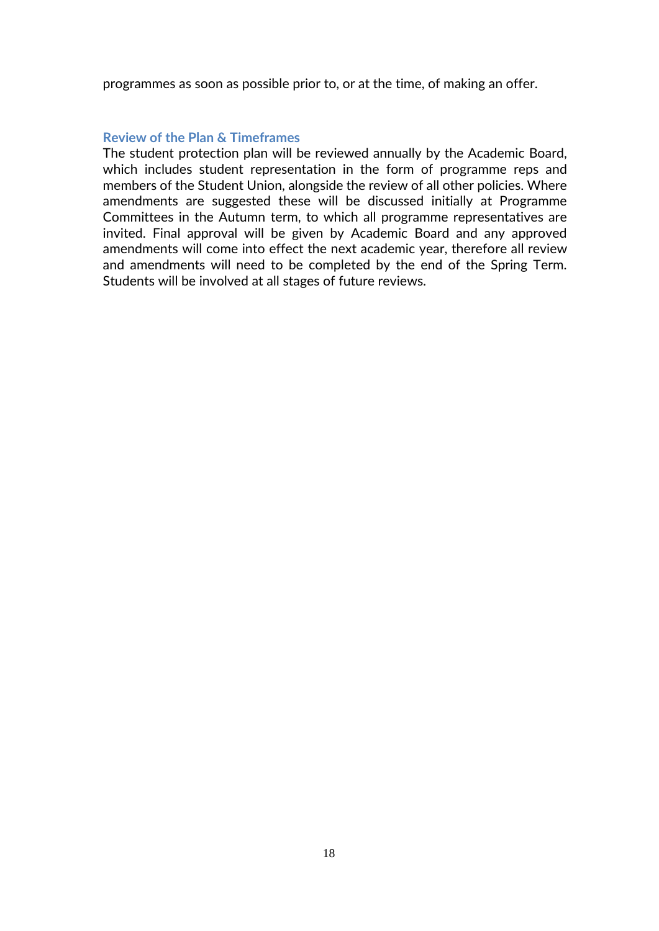programmes as soon as possible prior to, or at the time, of making an offer.

#### <span id="page-17-0"></span>**Review of the Plan & Timeframes**

The student protection plan will be reviewed annually by the Academic Board, which includes student representation in the form of programme reps and members of the Student Union, alongside the review of all other policies. Where amendments are suggested these will be discussed initially at Programme Committees in the Autumn term, to which all programme representatives are invited. Final approval will be given by Academic Board and any approved amendments will come into effect the next academic year, therefore all review and amendments will need to be completed by the end of the Spring Term. Students will be involved at all stages of future reviews.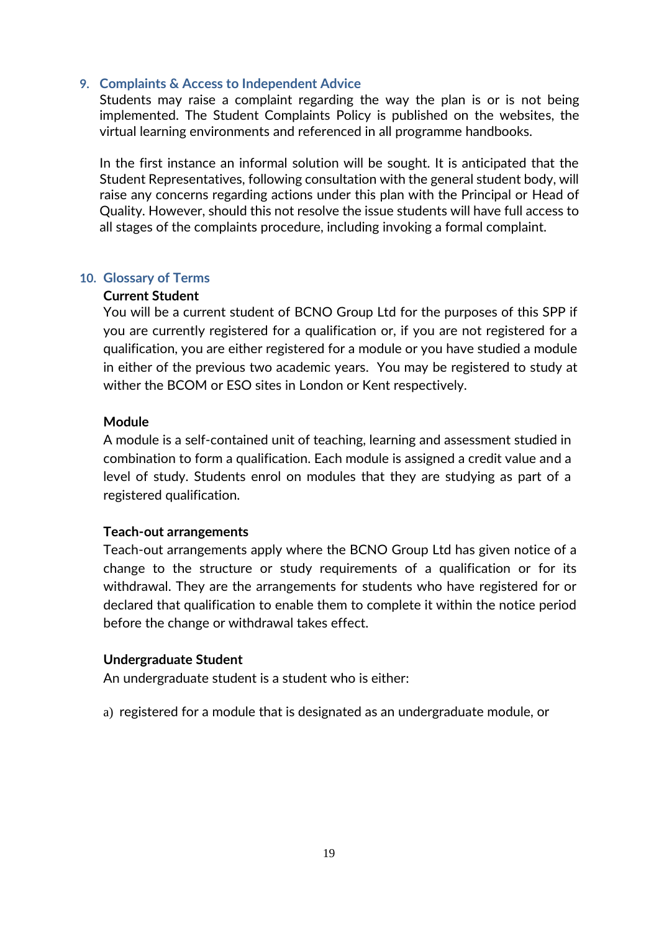#### <span id="page-18-0"></span>**9. Complaints & Access to Independent Advice**

Students may raise a complaint regarding the way the plan is or is not being implemented. The Student Complaints Policy is published on the websites, the virtual learning environments and referenced in all programme handbooks.

In the first instance an informal solution will be sought. It is anticipated that the Student Representatives, following consultation with the general student body, will raise any concerns regarding actions under this plan with the Principal or Head of Quality. However, should this not resolve the issue students will have full access to all stages of the complaints procedure, including invoking a formal complaint.

#### <span id="page-18-1"></span>**10. Glossary of Terms**

#### **Current Student**

You will be a current student of BCNO Group Ltd for the purposes of this SPP if you are currently registered for a qualification or, if you are not registered for a qualification, you are either registered for a module or you have studied a module in either of the previous two academic years. You may be registered to study at wither the BCOM or ESO sites in London or Kent respectively.

#### **Module**

A module is a self-contained unit of teaching, learning and assessment studied in combination to form a qualification. Each module is assigned a credit value and a level of study. Students enrol on modules that they are studying as part of a registered qualification.

#### **Teach-out arrangements**

Teach-out arrangements apply where the BCNO Group Ltd has given notice of a change to the structure or study requirements of a qualification or for its withdrawal. They are the arrangements for students who have registered for or declared that qualification to enable them to complete it within the notice period before the change or withdrawal takes effect.

#### **Undergraduate Student**

An undergraduate student is a student who is either:

a) registered for a module that is designated as an undergraduate module, or